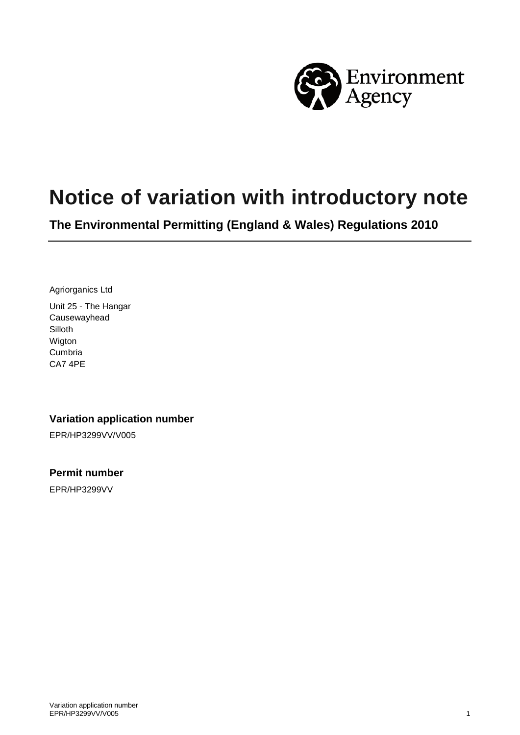

# **Notice of variation with introductory note**

**The Environmental Permitting (England & Wales) Regulations 2010**

Agriorganics Ltd Unit 25 - The Hangar Causewayhead Silloth Wigton Cumbria CA7 4PE

#### **Variation application number**

EPR/HP3299VV/V005

**Permit number**

EPR/HP3299VV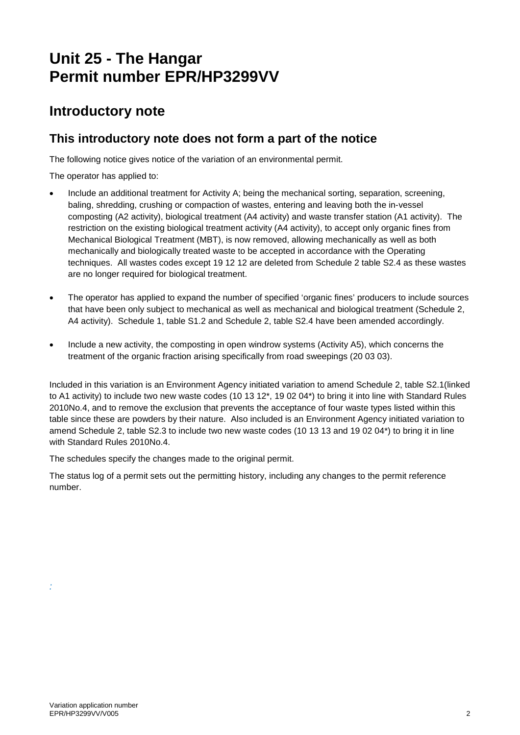# **Unit 25 - The Hangar Permit number EPR/HP3299VV**

### **Introductory note**

### **This introductory note does not form a part of the notice**

The following notice gives notice of the variation of an environmental permit.

The operator has applied to:

- Include an additional treatment for Activity A; being the mechanical sorting, separation, screening, baling, shredding, crushing or compaction of wastes, entering and leaving both the in-vessel composting (A2 activity), biological treatment (A4 activity) and waste transfer station (A1 activity). The restriction on the existing biological treatment activity (A4 activity), to accept only organic fines from Mechanical Biological Treatment (MBT), is now removed, allowing mechanically as well as both mechanically and biologically treated waste to be accepted in accordance with the Operating techniques. All wastes codes except 19 12 12 are deleted from Schedule 2 table S2.4 as these wastes are no longer required for biological treatment.
- The operator has applied to expand the number of specified 'organic fines' producers to include sources that have been only subject to mechanical as well as mechanical and biological treatment (Schedule 2, A4 activity). Schedule 1, table S1.2 and Schedule 2, table S2.4 have been amended accordingly.
- Include a new activity, the composting in open windrow systems (Activity A5), which concerns the treatment of the organic fraction arising specifically from road sweepings (20 03 03).

Included in this variation is an Environment Agency initiated variation to amend Schedule 2, table S2.1(linked to A1 activity) to include two new waste codes (10 13 12\*, 19 02 04\*) to bring it into line with Standard Rules 2010No.4, and to remove the exclusion that prevents the acceptance of four waste types listed within this table since these are powders by their nature. Also included is an Environment Agency initiated variation to amend Schedule 2, table S2.3 to include two new waste codes (10 13 13 and 19 02 04\*) to bring it in line with Standard Rules 2010No.4.

The schedules specify the changes made to the original permit.

The status log of a permit sets out the permitting history, including any changes to the permit reference number.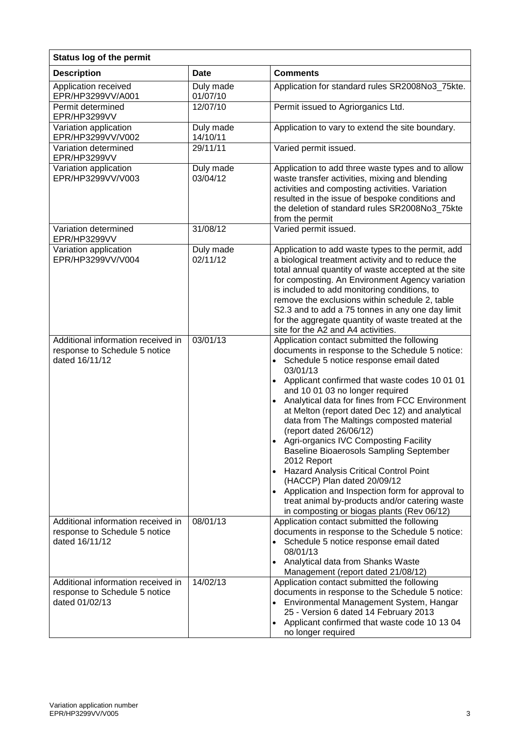| <b>Status log of the permit</b>                                                       |                       |                                                                                                                                                                                                                                                                                                                                                                                                                                                                                                                                                                                                                                                                                                                                                           |  |
|---------------------------------------------------------------------------------------|-----------------------|-----------------------------------------------------------------------------------------------------------------------------------------------------------------------------------------------------------------------------------------------------------------------------------------------------------------------------------------------------------------------------------------------------------------------------------------------------------------------------------------------------------------------------------------------------------------------------------------------------------------------------------------------------------------------------------------------------------------------------------------------------------|--|
| <b>Description</b>                                                                    | <b>Date</b>           | <b>Comments</b>                                                                                                                                                                                                                                                                                                                                                                                                                                                                                                                                                                                                                                                                                                                                           |  |
| Application received<br>EPR/HP3299VV/A001                                             | Duly made<br>01/07/10 | Application for standard rules SR2008No3_75kte.                                                                                                                                                                                                                                                                                                                                                                                                                                                                                                                                                                                                                                                                                                           |  |
| Permit determined<br>EPR/HP3299VV                                                     | 12/07/10              | Permit issued to Agriorganics Ltd.                                                                                                                                                                                                                                                                                                                                                                                                                                                                                                                                                                                                                                                                                                                        |  |
| Variation application<br>EPR/HP3299VV/V002                                            | Duly made<br>14/10/11 | Application to vary to extend the site boundary.                                                                                                                                                                                                                                                                                                                                                                                                                                                                                                                                                                                                                                                                                                          |  |
| Variation determined<br>EPR/HP3299VV                                                  | 29/11/11              | Varied permit issued.                                                                                                                                                                                                                                                                                                                                                                                                                                                                                                                                                                                                                                                                                                                                     |  |
| Variation application<br>EPR/HP3299VV/V003                                            | Duly made<br>03/04/12 | Application to add three waste types and to allow<br>waste transfer activities, mixing and blending<br>activities and composting activities. Variation<br>resulted in the issue of bespoke conditions and<br>the deletion of standard rules SR2008No3_75kte<br>from the permit                                                                                                                                                                                                                                                                                                                                                                                                                                                                            |  |
| Variation determined<br>EPR/HP3299VV                                                  | 31/08/12              | Varied permit issued.                                                                                                                                                                                                                                                                                                                                                                                                                                                                                                                                                                                                                                                                                                                                     |  |
| Variation application<br>EPR/HP3299VV/V004                                            | Duly made<br>02/11/12 | Application to add waste types to the permit, add<br>a biological treatment activity and to reduce the<br>total annual quantity of waste accepted at the site<br>for composting. An Environment Agency variation<br>is included to add monitoring conditions, to<br>remove the exclusions within schedule 2, table<br>S2.3 and to add a 75 tonnes in any one day limit<br>for the aggregate quantity of waste treated at the<br>site for the A2 and A4 activities.                                                                                                                                                                                                                                                                                        |  |
| Additional information received in<br>response to Schedule 5 notice<br>dated 16/11/12 | 03/01/13              | Application contact submitted the following<br>documents in response to the Schedule 5 notice:<br>• Schedule 5 notice response email dated<br>03/01/13<br>Applicant confirmed that waste codes 10 01 01<br>and 10 01 03 no longer required<br>• Analytical data for fines from FCC Environment<br>at Melton (report dated Dec 12) and analytical<br>data from The Maltings composted material<br>(report dated 26/06/12)<br>• Agri-organics IVC Composting Facility<br>Baseline Bioaerosols Sampling September<br>2012 Report<br>Hazard Analysis Critical Control Point<br>(HACCP) Plan dated 20/09/12<br>Application and Inspection form for approval to<br>treat animal by-products and/or catering waste<br>in composting or biogas plants (Rev 06/12) |  |
| Additional information received in<br>response to Schedule 5 notice<br>dated 16/11/12 | 08/01/13              | Application contact submitted the following<br>documents in response to the Schedule 5 notice:<br>Schedule 5 notice response email dated<br>08/01/13<br>• Analytical data from Shanks Waste<br>Management (report dated 21/08/12)                                                                                                                                                                                                                                                                                                                                                                                                                                                                                                                         |  |
| Additional information received in<br>response to Schedule 5 notice<br>dated 01/02/13 | 14/02/13              | Application contact submitted the following<br>documents in response to the Schedule 5 notice:<br>• Environmental Management System, Hangar<br>25 - Version 6 dated 14 February 2013<br>Applicant confirmed that waste code 10 13 04<br>no longer required                                                                                                                                                                                                                                                                                                                                                                                                                                                                                                |  |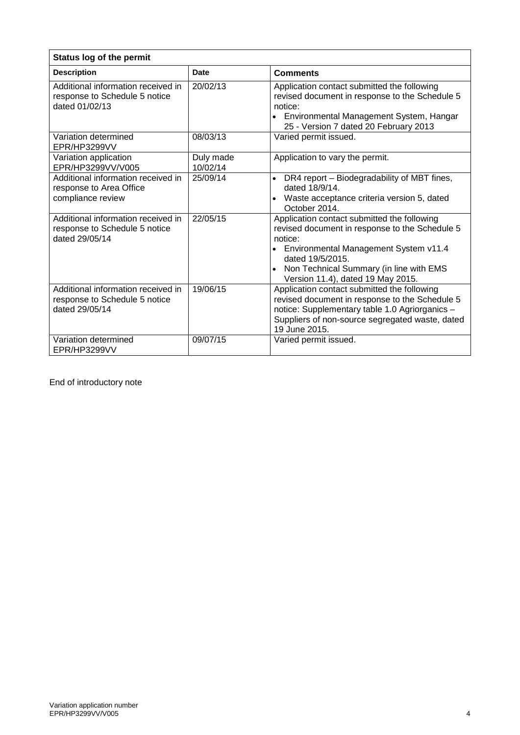| <b>Status log of the permit</b>                                                       |                       |                                                                                                                                                                                                                                                         |  |
|---------------------------------------------------------------------------------------|-----------------------|---------------------------------------------------------------------------------------------------------------------------------------------------------------------------------------------------------------------------------------------------------|--|
| <b>Description</b>                                                                    | <b>Date</b>           | <b>Comments</b>                                                                                                                                                                                                                                         |  |
| Additional information received in<br>response to Schedule 5 notice<br>dated 01/02/13 | 20/02/13              | Application contact submitted the following<br>revised document in response to the Schedule 5<br>notice:<br>• Environmental Management System, Hangar<br>25 - Version 7 dated 20 February 2013                                                          |  |
| Variation determined<br>EPR/HP3299VV                                                  | 08/03/13              | Varied permit issued.                                                                                                                                                                                                                                   |  |
| Variation application<br>EPR/HP3299VV/V005                                            | Duly made<br>10/02/14 | Application to vary the permit.                                                                                                                                                                                                                         |  |
| Additional information received in<br>response to Area Office<br>compliance review    | 25/09/14              | DR4 report - Biodegradability of MBT fines,<br>$\bullet$<br>dated 18/9/14.<br>Waste acceptance criteria version 5, dated<br>October 2014.                                                                                                               |  |
| Additional information received in<br>response to Schedule 5 notice<br>dated 29/05/14 | 22/05/15              | Application contact submitted the following<br>revised document in response to the Schedule 5<br>notice:<br>• Environmental Management System v11.4<br>dated 19/5/2015.<br>Non Technical Summary (in line with EMS<br>Version 11.4), dated 19 May 2015. |  |
| Additional information received in<br>response to Schedule 5 notice<br>dated 29/05/14 | 19/06/15              | Application contact submitted the following<br>revised document in response to the Schedule 5<br>notice: Supplementary table 1.0 Agriorganics -<br>Suppliers of non-source segregated waste, dated<br>19 June 2015.                                     |  |
| Variation determined<br>EPR/HP3299VV                                                  | 09/07/15              | Varied permit issued.                                                                                                                                                                                                                                   |  |

End of introductory note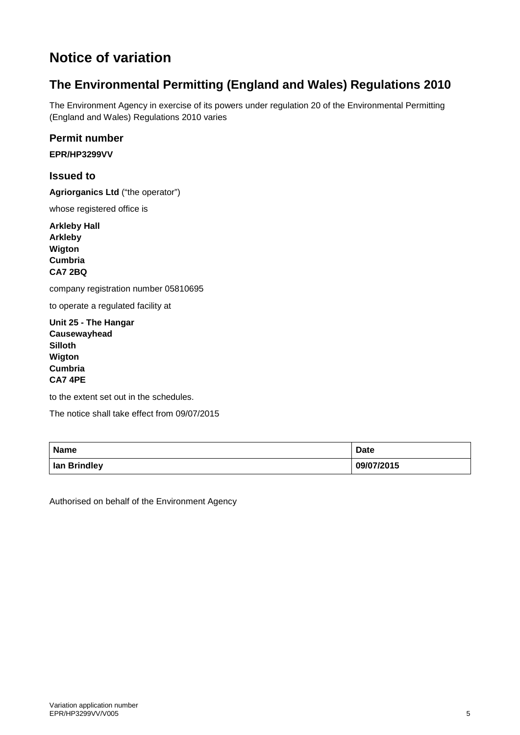# **Notice of variation**

## **The Environmental Permitting (England and Wales) Regulations 2010**

The Environment Agency in exercise of its powers under regulation 20 of the Environmental Permitting (England and Wales) Regulations 2010 varies

#### **Permit number**

**EPR/HP3299VV**

#### **Issued to**

**Agriorganics Ltd** ("the operator")

whose registered office is

**Arkleby Hall Arkleby Wigton Cumbria CA7 2BQ**

company registration number 05810695

to operate a regulated facility at

**Unit 25 - The Hangar Causewayhead Silloth Wigton Cumbria CA7 4PE**

to the extent set out in the schedules.

The notice shall take effect from 09/07/2015

| <b>Name</b>  | <b>Date</b> |
|--------------|-------------|
| lan Brindley | 09/07/2015  |

Authorised on behalf of the Environment Agency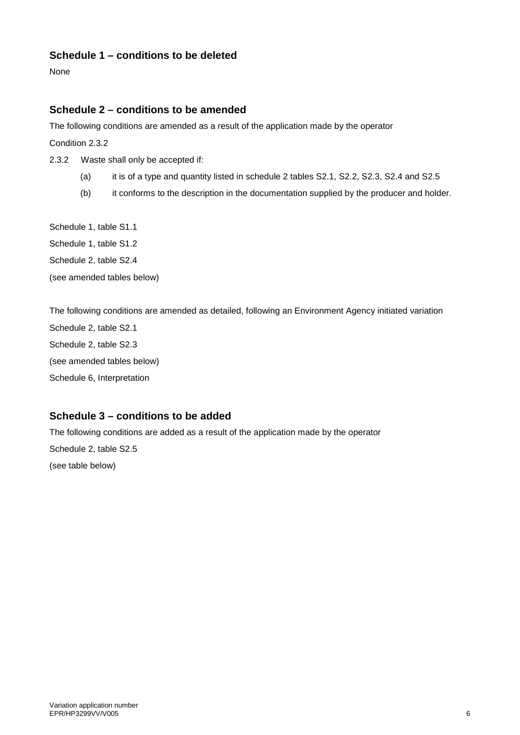#### **Schedule 1 – conditions to be deleted**

None

#### **Schedule 2 – conditions to be amended**

The following conditions are amended as a result of the application made by the operator

Condition 2.3.2

2.3.2 Waste shall only be accepted if:

- (a) it is of a type and quantity listed in schedule 2 tables S2.1, S2.2, S2.3, S2.4 and S2.5
- (b) it conforms to the description in the documentation supplied by the producer and holder.

Schedule 1, table S1.1 Schedule 1, table S1.2 Schedule 2, table S2.4

(see amended tables below)

The following conditions are amended as detailed, following an Environment Agency initiated variation Schedule 2, table S2.1 Schedule 2, table S2.3 (see amended tables below) Schedule 6, Interpretation

#### **Schedule 3 – conditions to be added**

The following conditions are added as a result of the application made by the operator

Schedule 2, table S2.5 (see table below)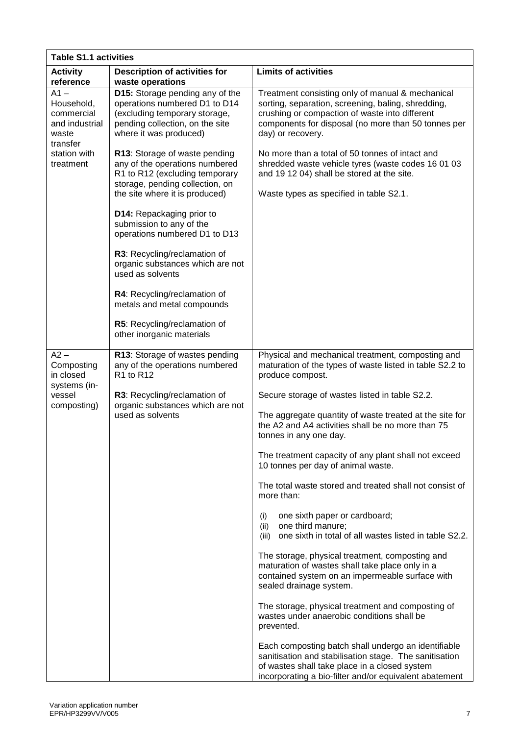| <b>Table S1.1 activities</b>                                                                                      |                                                                                                                                                                        |                                                                                                                                                                                                                                      |  |
|-------------------------------------------------------------------------------------------------------------------|------------------------------------------------------------------------------------------------------------------------------------------------------------------------|--------------------------------------------------------------------------------------------------------------------------------------------------------------------------------------------------------------------------------------|--|
| <b>Activity</b><br>reference                                                                                      | <b>Description of activities for</b><br>waste operations                                                                                                               | <b>Limits of activities</b>                                                                                                                                                                                                          |  |
| $\overline{A}1 -$<br>Household,<br>commercial<br>and industrial<br>waste<br>transfer<br>station with<br>treatment | D15: Storage pending any of the<br>operations numbered D1 to D14<br>(excluding temporary storage,<br>pending collection, on the site<br>where it was produced)         | Treatment consisting only of manual & mechanical<br>sorting, separation, screening, baling, shredding,<br>crushing or compaction of waste into different<br>components for disposal (no more than 50 tonnes per<br>day) or recovery. |  |
|                                                                                                                   | R13: Storage of waste pending<br>any of the operations numbered<br>R1 to R12 (excluding temporary<br>storage, pending collection, on<br>the site where it is produced) | No more than a total of 50 tonnes of intact and<br>shredded waste vehicle tyres (waste codes 16 01 03<br>and 19 12 04) shall be stored at the site.<br>Waste types as specified in table S2.1.                                       |  |
|                                                                                                                   | D14: Repackaging prior to<br>submission to any of the<br>operations numbered D1 to D13                                                                                 |                                                                                                                                                                                                                                      |  |
|                                                                                                                   | R3: Recycling/reclamation of<br>organic substances which are not<br>used as solvents                                                                                   |                                                                                                                                                                                                                                      |  |
|                                                                                                                   | R4: Recycling/reclamation of<br>metals and metal compounds                                                                                                             |                                                                                                                                                                                                                                      |  |
|                                                                                                                   | R5: Recycling/reclamation of<br>other inorganic materials                                                                                                              |                                                                                                                                                                                                                                      |  |
| $A2 -$<br>Composting<br>in closed                                                                                 | R13: Storage of wastes pending<br>any of the operations numbered<br>R1 to R12                                                                                          | Physical and mechanical treatment, composting and<br>maturation of the types of waste listed in table S2.2 to<br>produce compost.                                                                                                    |  |
| systems (in-<br>vessel                                                                                            | R3: Recycling/reclamation of<br>organic substances which are not<br>used as solvents                                                                                   | Secure storage of wastes listed in table S2.2.                                                                                                                                                                                       |  |
| composting)                                                                                                       |                                                                                                                                                                        | The aggregate quantity of waste treated at the site for<br>the A2 and A4 activities shall be no more than 75<br>tonnes in any one day.                                                                                               |  |
|                                                                                                                   |                                                                                                                                                                        | The treatment capacity of any plant shall not exceed<br>10 tonnes per day of animal waste.                                                                                                                                           |  |
|                                                                                                                   |                                                                                                                                                                        | The total waste stored and treated shall not consist of<br>more than:                                                                                                                                                                |  |
|                                                                                                                   |                                                                                                                                                                        | one sixth paper or cardboard;<br>(i)<br>one third manure;<br>(ii)<br>one sixth in total of all wastes listed in table S2.2.<br>(iii)                                                                                                 |  |
|                                                                                                                   |                                                                                                                                                                        | The storage, physical treatment, composting and<br>maturation of wastes shall take place only in a<br>contained system on an impermeable surface with<br>sealed drainage system.                                                     |  |
|                                                                                                                   |                                                                                                                                                                        | The storage, physical treatment and composting of<br>wastes under anaerobic conditions shall be<br>prevented.                                                                                                                        |  |
|                                                                                                                   |                                                                                                                                                                        | Each composting batch shall undergo an identifiable<br>sanitisation and stabilisation stage. The sanitisation<br>of wastes shall take place in a closed system<br>incorporating a bio-filter and/or equivalent abatement             |  |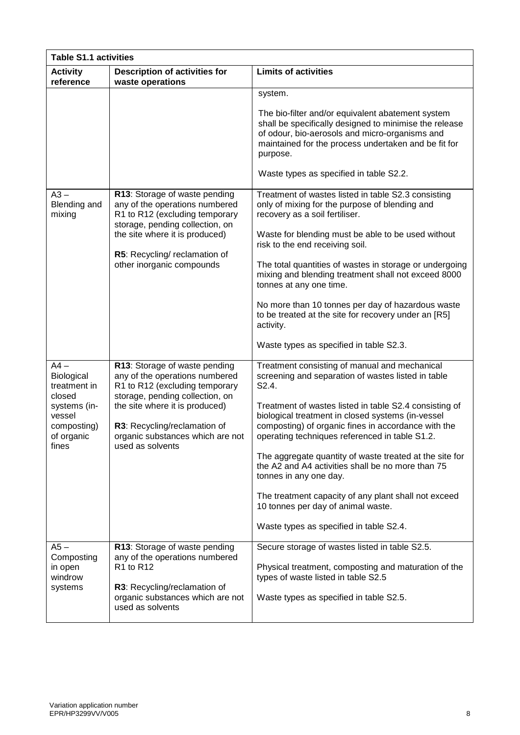| <b>Table S1.1 activities</b>                                                                                   |                                                                                                                                                                                                                                                                |                                                                                                                                                                                                                                                                                                                                                                                                                                                                                                                                                                                                                         |  |
|----------------------------------------------------------------------------------------------------------------|----------------------------------------------------------------------------------------------------------------------------------------------------------------------------------------------------------------------------------------------------------------|-------------------------------------------------------------------------------------------------------------------------------------------------------------------------------------------------------------------------------------------------------------------------------------------------------------------------------------------------------------------------------------------------------------------------------------------------------------------------------------------------------------------------------------------------------------------------------------------------------------------------|--|
| <b>Activity</b><br>reference                                                                                   | <b>Description of activities for</b><br>waste operations                                                                                                                                                                                                       | <b>Limits of activities</b>                                                                                                                                                                                                                                                                                                                                                                                                                                                                                                                                                                                             |  |
|                                                                                                                |                                                                                                                                                                                                                                                                | system.<br>The bio-filter and/or equivalent abatement system<br>shall be specifically designed to minimise the release<br>of odour, bio-aerosols and micro-organisms and<br>maintained for the process undertaken and be fit for<br>purpose.<br>Waste types as specified in table S2.2.                                                                                                                                                                                                                                                                                                                                 |  |
| $A3 -$<br>Blending and<br>mixing                                                                               | R13: Storage of waste pending<br>any of the operations numbered<br>R1 to R12 (excluding temporary<br>storage, pending collection, on<br>the site where it is produced)<br>R5: Recycling/ reclamation of<br>other inorganic compounds                           | Treatment of wastes listed in table S2.3 consisting<br>only of mixing for the purpose of blending and<br>recovery as a soil fertiliser.<br>Waste for blending must be able to be used without<br>risk to the end receiving soil.<br>The total quantities of wastes in storage or undergoing<br>mixing and blending treatment shall not exceed 8000<br>tonnes at any one time.<br>No more than 10 tonnes per day of hazardous waste<br>to be treated at the site for recovery under an [R5]<br>activity.<br>Waste types as specified in table S2.3.                                                                      |  |
| $A4 -$<br>Biological<br>treatment in<br>closed<br>systems (in-<br>vessel<br>composting)<br>of organic<br>fines | R13: Storage of waste pending<br>any of the operations numbered<br>R1 to R12 (excluding temporary<br>storage, pending collection, on<br>the site where it is produced)<br>R3: Recycling/reclamation of<br>organic substances which are not<br>used as solvents | Treatment consisting of manual and mechanical<br>screening and separation of wastes listed in table<br>S2.4.<br>Treatment of wastes listed in table S2.4 consisting of<br>biological treatment in closed systems (in-vessel<br>composting) of organic fines in accordance with the<br>operating techniques referenced in table S1.2.<br>The aggregate quantity of waste treated at the site for<br>the A2 and A4 activities shall be no more than 75<br>tonnes in any one day.<br>The treatment capacity of any plant shall not exceed<br>10 tonnes per day of animal waste.<br>Waste types as specified in table S2.4. |  |
| $A5-$<br>Composting<br>in open<br>windrow<br>systems                                                           | R13: Storage of waste pending<br>any of the operations numbered<br>R1 to R12<br>R3: Recycling/reclamation of<br>organic substances which are not<br>used as solvents                                                                                           | Secure storage of wastes listed in table S2.5.<br>Physical treatment, composting and maturation of the<br>types of waste listed in table S2.5<br>Waste types as specified in table S2.5.                                                                                                                                                                                                                                                                                                                                                                                                                                |  |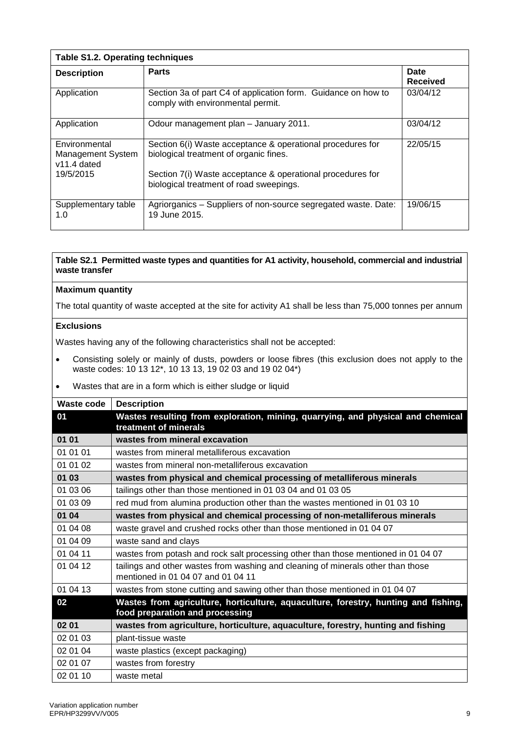| <b>Table S1.2. Operating techniques</b>                    |                                                                                                       |                                |  |
|------------------------------------------------------------|-------------------------------------------------------------------------------------------------------|--------------------------------|--|
| <b>Description</b>                                         | <b>Parts</b>                                                                                          | <b>Date</b><br><b>Received</b> |  |
| Application                                                | Section 3a of part C4 of application form. Guidance on how to<br>comply with environmental permit.    | 03/04/12                       |  |
| Application                                                | Odour management plan – January 2011.                                                                 | 03/04/12                       |  |
| Environmental<br><b>Management System</b><br>$v11.4$ dated | Section 6(i) Waste acceptance & operational procedures for<br>biological treatment of organic fines.  | 22/05/15                       |  |
| 19/5/2015                                                  | Section 7(i) Waste acceptance & operational procedures for<br>biological treatment of road sweepings. |                                |  |
| Supplementary table<br>1.0                                 | Agriorganics - Suppliers of non-source segregated waste. Date:<br>19 June 2015.                       | 19/06/15                       |  |

#### **Maximum quantity**

The total quantity of waste accepted at the site for activity A1 shall be less than 75,000 tonnes per annum

#### **Exclusions**

- Consisting solely or mainly of dusts, powders or loose fibres (this exclusion does not apply to the waste codes: 10 13 12\*, 10 13 13, 19 02 03 and 19 02 04\*)
- Wastes that are in a form which is either sludge or liquid

| <b>Waste code</b> | <b>Description</b>                                                                                                     |
|-------------------|------------------------------------------------------------------------------------------------------------------------|
| 01                | Wastes resulting from exploration, mining, quarrying, and physical and chemical<br>treatment of minerals               |
| 01 01             | wastes from mineral excavation                                                                                         |
| 01 01 01          | wastes from mineral metalliferous excavation                                                                           |
| 01 01 02          | wastes from mineral non-metalliferous excavation                                                                       |
| 01 03             | wastes from physical and chemical processing of metalliferous minerals                                                 |
| 01 03 06          | tailings other than those mentioned in 01 03 04 and 01 03 05                                                           |
| 01 03 09          | red mud from alumina production other than the wastes mentioned in 01 03 10                                            |
| 01 04             | wastes from physical and chemical processing of non-metalliferous minerals                                             |
| 01 04 08          | waste gravel and crushed rocks other than those mentioned in 01 04 07                                                  |
| 01 04 09          | waste sand and clays                                                                                                   |
| 01 04 11          | wastes from potash and rock salt processing other than those mentioned in 01 04 07                                     |
| 01 04 12          | tailings and other wastes from washing and cleaning of minerals other than those<br>mentioned in 01 04 07 and 01 04 11 |
| 01 04 13          | wastes from stone cutting and sawing other than those mentioned in 01 04 07                                            |
| 02                | Wastes from agriculture, horticulture, aquaculture, forestry, hunting and fishing,<br>food preparation and processing  |
| 02 01             | wastes from agriculture, horticulture, aquaculture, forestry, hunting and fishing                                      |
| 02 01 03          | plant-tissue waste                                                                                                     |
| 02 01 04          | waste plastics (except packaging)                                                                                      |
| 02 01 07          | wastes from forestry                                                                                                   |
| 02 01 10          | waste metal                                                                                                            |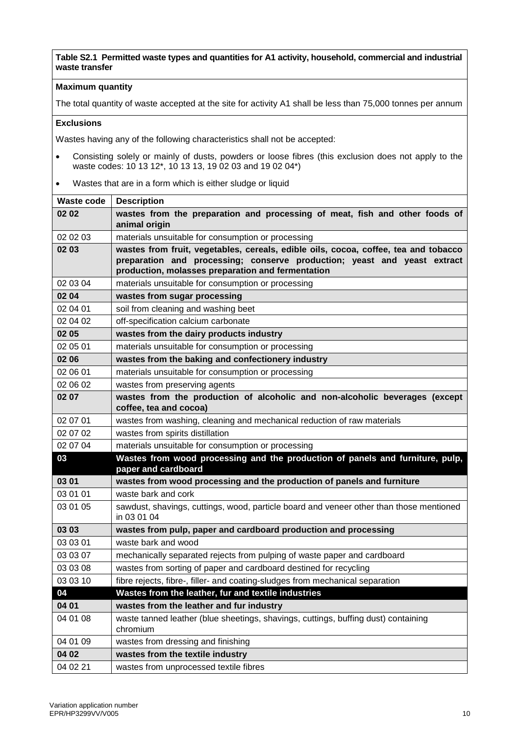#### **Maximum quantity**

The total quantity of waste accepted at the site for activity A1 shall be less than 75,000 tonnes per annum

#### **Exclusions**

- Consisting solely or mainly of dusts, powders or loose fibres (this exclusion does not apply to the waste codes: 10 13 12\*, 10 13 13, 19 02 03 and 19 02 04\*)
- Wastes that are in a form which is either sludge or liquid

| <b>Waste code</b> | <b>Description</b>                                                                                                                                                                                                   |
|-------------------|----------------------------------------------------------------------------------------------------------------------------------------------------------------------------------------------------------------------|
| 02 02             | wastes from the preparation and processing of meat, fish and other foods of<br>animal origin                                                                                                                         |
| 02 02 03          | materials unsuitable for consumption or processing                                                                                                                                                                   |
| 02 03             | wastes from fruit, vegetables, cereals, edible oils, cocoa, coffee, tea and tobacco<br>preparation and processing; conserve production; yeast and yeast extract<br>production, molasses preparation and fermentation |
| 02 03 04          | materials unsuitable for consumption or processing                                                                                                                                                                   |
| 02 04             | wastes from sugar processing                                                                                                                                                                                         |
| 02 04 01          | soil from cleaning and washing beet                                                                                                                                                                                  |
| 02 04 02          | off-specification calcium carbonate                                                                                                                                                                                  |
| 02 05             | wastes from the dairy products industry                                                                                                                                                                              |
| 02 05 01          | materials unsuitable for consumption or processing                                                                                                                                                                   |
| 02 06             | wastes from the baking and confectionery industry                                                                                                                                                                    |
| 02 06 01          | materials unsuitable for consumption or processing                                                                                                                                                                   |
| 02 06 02          | wastes from preserving agents                                                                                                                                                                                        |
| 02 07             | wastes from the production of alcoholic and non-alcoholic beverages (except<br>coffee, tea and cocoa)                                                                                                                |
| 02 07 01          | wastes from washing, cleaning and mechanical reduction of raw materials                                                                                                                                              |
| 02 07 02          | wastes from spirits distillation                                                                                                                                                                                     |
| 02 07 04          | materials unsuitable for consumption or processing                                                                                                                                                                   |
| 03                | Wastes from wood processing and the production of panels and furniture, pulp,<br>paper and cardboard                                                                                                                 |
| 03 01             | wastes from wood processing and the production of panels and furniture                                                                                                                                               |
| 03 01 01          | waste bark and cork                                                                                                                                                                                                  |
| 03 01 05          | sawdust, shavings, cuttings, wood, particle board and veneer other than those mentioned<br>in 03 01 04                                                                                                               |
| 03 03             | wastes from pulp, paper and cardboard production and processing                                                                                                                                                      |
| 03 03 01          | waste bark and wood                                                                                                                                                                                                  |
| 03 03 07          | mechanically separated rejects from pulping of waste paper and cardboard                                                                                                                                             |
| 03 03 08          | wastes from sorting of paper and cardboard destined for recycling                                                                                                                                                    |
| 03 03 10          | fibre rejects, fibre-, filler- and coating-sludges from mechanical separation                                                                                                                                        |
| 04                | Wastes from the leather, fur and textile industries                                                                                                                                                                  |
| 04 01             | wastes from the leather and fur industry                                                                                                                                                                             |
| 04 01 08          | waste tanned leather (blue sheetings, shavings, cuttings, buffing dust) containing<br>chromium                                                                                                                       |
| 04 01 09          | wastes from dressing and finishing                                                                                                                                                                                   |
| 04 02             | wastes from the textile industry                                                                                                                                                                                     |
| 04 02 21          | wastes from unprocessed textile fibres                                                                                                                                                                               |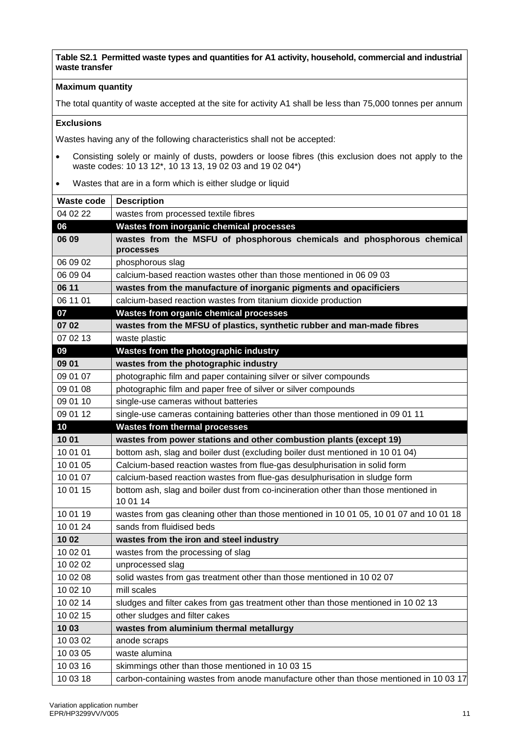#### **Maximum quantity**

The total quantity of waste accepted at the site for activity A1 shall be less than 75,000 tonnes per annum

#### **Exclusions**

- Consisting solely or mainly of dusts, powders or loose fibres (this exclusion does not apply to the waste codes: 10 13 12\*, 10 13 13, 19 02 03 and 19 02 04\*)
- Wastes that are in a form which is either sludge or liquid

| <b>Waste code</b> | <b>Description</b>                                                                              |
|-------------------|-------------------------------------------------------------------------------------------------|
| 04 02 22          | wastes from processed textile fibres                                                            |
| 06                | <b>Wastes from inorganic chemical processes</b>                                                 |
| 06 09             | wastes from the MSFU of phosphorous chemicals and phosphorous chemical<br>processes             |
| 06 09 02          | phosphorous slag                                                                                |
| 06 09 04          | calcium-based reaction wastes other than those mentioned in 06 09 03                            |
| 06 11             | wastes from the manufacture of inorganic pigments and opacificiers                              |
| 06 11 01          | calcium-based reaction wastes from titanium dioxide production                                  |
| 07                | <b>Wastes from organic chemical processes</b>                                                   |
| 07 02             | wastes from the MFSU of plastics, synthetic rubber and man-made fibres                          |
| 07 02 13          | waste plastic                                                                                   |
| 09                | Wastes from the photographic industry                                                           |
| 09 01             | wastes from the photographic industry                                                           |
| 09 01 07          | photographic film and paper containing silver or silver compounds                               |
| 09 01 08          | photographic film and paper free of silver or silver compounds                                  |
| 09 01 10          | single-use cameras without batteries                                                            |
| 09 01 12          | single-use cameras containing batteries other than those mentioned in 09 01 11                  |
| 10                | <b>Wastes from thermal processes</b>                                                            |
| 10 01             | wastes from power stations and other combustion plants (except 19)                              |
| 10 01 01          | bottom ash, slag and boiler dust (excluding boiler dust mentioned in 10 01 04)                  |
| 10 01 05          | Calcium-based reaction wastes from flue-gas desulphurisation in solid form                      |
| 10 01 07          | calcium-based reaction wastes from flue-gas desulphurisation in sludge form                     |
| 10 01 15          | bottom ash, slag and boiler dust from co-incineration other than those mentioned in<br>10 01 14 |
| 10 01 19          | wastes from gas cleaning other than those mentioned in 10 01 05, 10 01 07 and 10 01 18          |
| 10 01 24          | sands from fluidised beds                                                                       |
| 1002              | wastes from the iron and steel industry                                                         |
| 10 02 01          | wastes from the processing of slag                                                              |
| 10 02 02          | unprocessed slag                                                                                |
| 10 02 08          | solid wastes from gas treatment other than those mentioned in 10 02 07                          |
| 10 02 10          | mill scales                                                                                     |
| 10 02 14          | sludges and filter cakes from gas treatment other than those mentioned in 10 02 13              |
| 10 02 15          | other sludges and filter cakes                                                                  |
| 1003              | wastes from aluminium thermal metallurgy                                                        |
| 10 03 02          | anode scraps                                                                                    |
| 10 03 05          | waste alumina                                                                                   |
| 10 03 16          | skimmings other than those mentioned in 10 03 15                                                |
| 10 03 18          | carbon-containing wastes from anode manufacture other than those mentioned in 10 03 17          |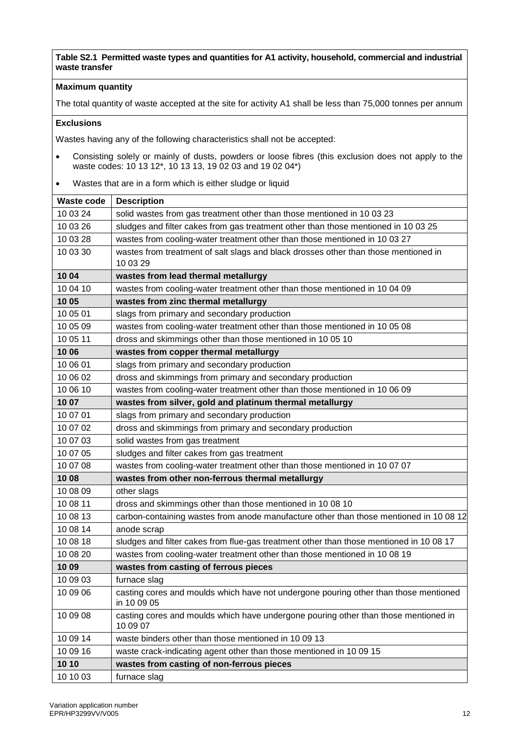#### **Maximum quantity**

The total quantity of waste accepted at the site for activity A1 shall be less than 75,000 tonnes per annum

#### **Exclusions**

- Consisting solely or mainly of dusts, powders or loose fibres (this exclusion does not apply to the waste codes: 10 13 12\*, 10 13 13, 19 02 03 and 19 02 04\*)
- Wastes that are in a form which is either sludge or liquid

| <b>Waste code</b> | <b>Description</b>                                                                                  |
|-------------------|-----------------------------------------------------------------------------------------------------|
| 10 03 24          | solid wastes from gas treatment other than those mentioned in 10 03 23                              |
| 10 03 26          | sludges and filter cakes from gas treatment other than those mentioned in 10 03 25                  |
| 10 03 28          | wastes from cooling-water treatment other than those mentioned in 10 03 27                          |
| 10 03 30          | wastes from treatment of salt slags and black drosses other than those mentioned in                 |
|                   | 10 03 29                                                                                            |
| 10 04             | wastes from lead thermal metallurgy                                                                 |
| 10 04 10          | wastes from cooling-water treatment other than those mentioned in 10 04 09                          |
| 1005              | wastes from zinc thermal metallurgy                                                                 |
| 10 05 01          | slags from primary and secondary production                                                         |
| 10 05 09          | wastes from cooling-water treatment other than those mentioned in 10 05 08                          |
| 10 05 11          | dross and skimmings other than those mentioned in 10 05 10                                          |
| 10 06             | wastes from copper thermal metallurgy                                                               |
| 10 06 01          | slags from primary and secondary production                                                         |
| 10 06 02          | dross and skimmings from primary and secondary production                                           |
| 10 06 10          | wastes from cooling-water treatment other than those mentioned in 10 06 09                          |
| 10 07             | wastes from silver, gold and platinum thermal metallurgy                                            |
| 10 07 01          | slags from primary and secondary production                                                         |
| 10 07 02          | dross and skimmings from primary and secondary production                                           |
| 10 07 03          | solid wastes from gas treatment                                                                     |
| 10 07 05          | sludges and filter cakes from gas treatment                                                         |
| 10 07 08          | wastes from cooling-water treatment other than those mentioned in 10 07 07                          |
| 1008              | wastes from other non-ferrous thermal metallurgy                                                    |
| 10 08 09          | other slags                                                                                         |
| 10 08 11          | dross and skimmings other than those mentioned in 10 08 10                                          |
| 10 08 13          | carbon-containing wastes from anode manufacture other than those mentioned in 10 08 12              |
| 10 08 14          | anode scrap                                                                                         |
| 10 08 18          | sludges and filter cakes from flue-gas treatment other than those mentioned in 10 08 17             |
| 10 08 20          | wastes from cooling-water treatment other than those mentioned in 10 08 19                          |
| 1009              | wastes from casting of ferrous pieces                                                               |
| 10 09 03          | furnace slag                                                                                        |
| 10 09 06          | casting cores and moulds which have not undergone pouring other than those mentioned<br>in 10 09 05 |
| 10 09 08          | casting cores and moulds which have undergone pouring other than those mentioned in<br>10 09 07     |
| 10 09 14          | waste binders other than those mentioned in 10 09 13                                                |
| 10 09 16          | waste crack-indicating agent other than those mentioned in 10 09 15                                 |
| 10 10             | wastes from casting of non-ferrous pieces                                                           |
| 10 10 03          | furnace slag                                                                                        |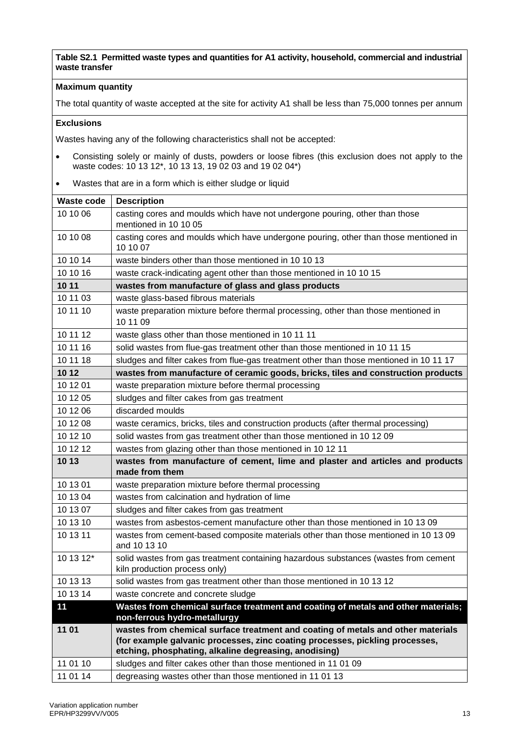#### **Maximum quantity**

The total quantity of waste accepted at the site for activity A1 shall be less than 75,000 tonnes per annum

#### **Exclusions**

- Consisting solely or mainly of dusts, powders or loose fibres (this exclusion does not apply to the waste codes: 10 13 12\*, 10 13 13, 19 02 03 and 19 02 04\*)
- Wastes that are in a form which is either sludge or liquid

| <b>Waste code</b> | <b>Description</b>                                                                                                                    |
|-------------------|---------------------------------------------------------------------------------------------------------------------------------------|
| 10 10 06          | casting cores and moulds which have not undergone pouring, other than those                                                           |
|                   | mentioned in 10 10 05                                                                                                                 |
| 10 10 08          | casting cores and moulds which have undergone pouring, other than those mentioned in<br>10 10 07                                      |
| 10 10 14          | waste binders other than those mentioned in 10 10 13                                                                                  |
| 10 10 16          | waste crack-indicating agent other than those mentioned in 10 10 15                                                                   |
| 10 11             | wastes from manufacture of glass and glass products                                                                                   |
| 10 11 03          | waste glass-based fibrous materials                                                                                                   |
| 10 11 10          | waste preparation mixture before thermal processing, other than those mentioned in<br>10 11 09                                        |
| 10 11 12          | waste glass other than those mentioned in 10 11 11                                                                                    |
| 10 11 16          | solid wastes from flue-gas treatment other than those mentioned in 10 11 15                                                           |
| 10 11 18          | sludges and filter cakes from flue-gas treatment other than those mentioned in 10 11 17                                               |
| 10 12             | wastes from manufacture of ceramic goods, bricks, tiles and construction products                                                     |
| 10 12 01          | waste preparation mixture before thermal processing                                                                                   |
| 10 12 05          | sludges and filter cakes from gas treatment                                                                                           |
| 10 12 06          | discarded moulds                                                                                                                      |
| 10 12 08          | waste ceramics, bricks, tiles and construction products (after thermal processing)                                                    |
| 10 12 10          | solid wastes from gas treatment other than those mentioned in 10 12 09                                                                |
| 10 12 12          | wastes from glazing other than those mentioned in 10 12 11                                                                            |
| 10 13             | wastes from manufacture of cement, lime and plaster and articles and products<br>made from them                                       |
| 10 13 01          | waste preparation mixture before thermal processing                                                                                   |
| 10 13 04          | wastes from calcination and hydration of lime                                                                                         |
| 10 13 07          | sludges and filter cakes from gas treatment                                                                                           |
| 10 13 10          | wastes from asbestos-cement manufacture other than those mentioned in 10 13 09                                                        |
| 10 13 11          | wastes from cement-based composite materials other than those mentioned in 10 13 09<br>and 10 13 10                                   |
| 10 13 12*         | solid wastes from gas treatment containing hazardous substances (wastes from cement<br>kiln production process only)                  |
| 10 13 13          | solid wastes from gas treatment other than those mentioned in 10 13 12                                                                |
| 10 13 14          | waste concrete and concrete sludge                                                                                                    |
| 11                | Wastes from chemical surface treatment and coating of metals and other materials;<br>non-ferrous hydro-metallurgy                     |
| 11 01             | wastes from chemical surface treatment and coating of metals and other materials                                                      |
|                   | (for example galvanic processes, zinc coating processes, pickling processes,<br>etching, phosphating, alkaline degreasing, anodising) |
| 11 01 10          | sludges and filter cakes other than those mentioned in 11 01 09                                                                       |
| 11 01 14          | degreasing wastes other than those mentioned in 11 01 13                                                                              |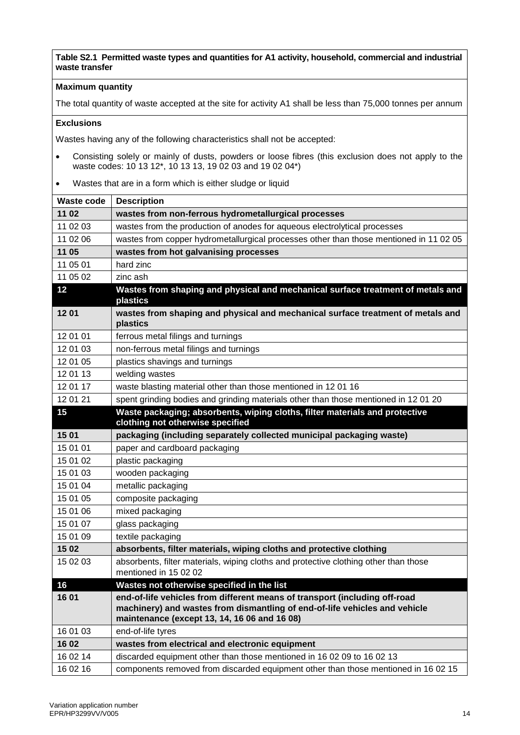#### **Maximum quantity**

The total quantity of waste accepted at the site for activity A1 shall be less than 75,000 tonnes per annum

#### **Exclusions**

- Consisting solely or mainly of dusts, powders or loose fibres (this exclusion does not apply to the waste codes: 10 13 12\*, 10 13 13, 19 02 03 and 19 02 04\*)
- Wastes that are in a form which is either sludge or liquid

| <b>Waste code</b> | <b>Description</b>                                                                                                                                                                                       |
|-------------------|----------------------------------------------------------------------------------------------------------------------------------------------------------------------------------------------------------|
| 11 02             | wastes from non-ferrous hydrometallurgical processes                                                                                                                                                     |
| 11 02 03          | wastes from the production of anodes for aqueous electrolytical processes                                                                                                                                |
| 11 02 06          | wastes from copper hydrometallurgical processes other than those mentioned in 11 02 05                                                                                                                   |
| 11 05             | wastes from hot galvanising processes                                                                                                                                                                    |
| 11 05 01          | hard zinc                                                                                                                                                                                                |
| 11 05 02          | zinc ash                                                                                                                                                                                                 |
| 12                | Wastes from shaping and physical and mechanical surface treatment of metals and<br>plastics                                                                                                              |
| 1201              | wastes from shaping and physical and mechanical surface treatment of metals and<br>plastics                                                                                                              |
| 12 01 01          | ferrous metal filings and turnings                                                                                                                                                                       |
| 12 01 03          | non-ferrous metal filings and turnings                                                                                                                                                                   |
| 12 01 05          | plastics shavings and turnings                                                                                                                                                                           |
| 12 01 13          | welding wastes                                                                                                                                                                                           |
| 12 01 17          | waste blasting material other than those mentioned in 1201 16                                                                                                                                            |
| 12 01 21          | spent grinding bodies and grinding materials other than those mentioned in 12 01 20                                                                                                                      |
| 15                | Waste packaging; absorbents, wiping cloths, filter materials and protective<br>clothing not otherwise specified                                                                                          |
| 15 01             | packaging (including separately collected municipal packaging waste)                                                                                                                                     |
| 15 01 01          | paper and cardboard packaging                                                                                                                                                                            |
| 15 01 02          | plastic packaging                                                                                                                                                                                        |
| 15 01 03          | wooden packaging                                                                                                                                                                                         |
| 15 01 04          | metallic packaging                                                                                                                                                                                       |
| 15 01 05          | composite packaging                                                                                                                                                                                      |
| 15 01 06          | mixed packaging                                                                                                                                                                                          |
| 15 01 07          | glass packaging                                                                                                                                                                                          |
| 15 01 09          | textile packaging                                                                                                                                                                                        |
| 15 02             | absorbents, filter materials, wiping cloths and protective clothing                                                                                                                                      |
| 15 02 03          | absorbents, filter materials, wiping cloths and protective clothing other than those<br>mentioned in 15 02 02                                                                                            |
| 16                | Wastes not otherwise specified in the list                                                                                                                                                               |
| 16 01             | end-of-life vehicles from different means of transport (including off-road<br>machinery) and wastes from dismantling of end-of-life vehicles and vehicle<br>maintenance (except 13, 14, 16 06 and 16 08) |
| 16 01 03          | end-of-life tyres                                                                                                                                                                                        |
| 16 02             | wastes from electrical and electronic equipment                                                                                                                                                          |
| 16 02 14          | discarded equipment other than those mentioned in 16 02 09 to 16 02 13                                                                                                                                   |
| 16 02 16          | components removed from discarded equipment other than those mentioned in 16 02 15                                                                                                                       |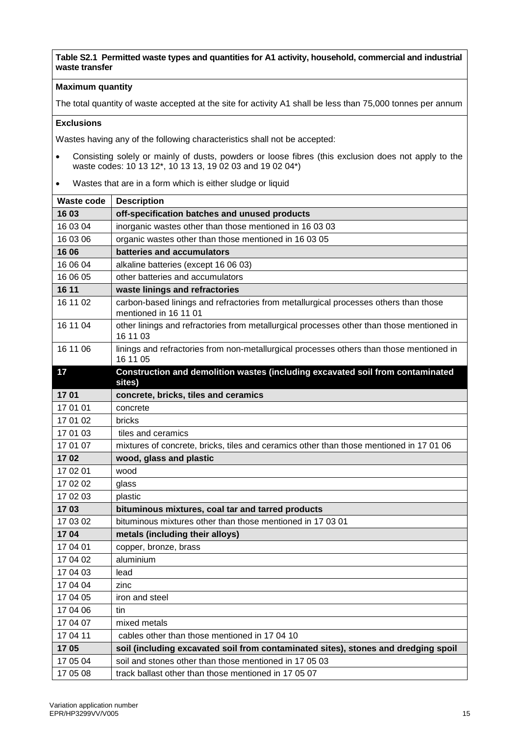#### **Maximum quantity**

The total quantity of waste accepted at the site for activity A1 shall be less than 75,000 tonnes per annum

#### **Exclusions**

- Consisting solely or mainly of dusts, powders or loose fibres (this exclusion does not apply to the waste codes: 10 13 12\*, 10 13 13, 19 02 03 and 19 02 04\*)
- Wastes that are in a form which is either sludge or liquid

| <b>Waste code</b> | <b>Description</b>                                                                                            |
|-------------------|---------------------------------------------------------------------------------------------------------------|
| 16 03             | off-specification batches and unused products                                                                 |
| 16 03 04          | inorganic wastes other than those mentioned in 16 03 03                                                       |
| 16 03 06          | organic wastes other than those mentioned in 16 03 05                                                         |
| 16 06             | batteries and accumulators                                                                                    |
| 16 06 04          | alkaline batteries (except 16 06 03)                                                                          |
| 16 06 05          | other batteries and accumulators                                                                              |
| 16 11             | waste linings and refractories                                                                                |
| 16 11 02          | carbon-based linings and refractories from metallurgical processes others than those<br>mentioned in 16 11 01 |
| 16 11 04          | other linings and refractories from metallurgical processes other than those mentioned in<br>16 11 03         |
| 16 11 06          | linings and refractories from non-metallurgical processes others than those mentioned in<br>16 11 05          |
| 17                | Construction and demolition wastes (including excavated soil from contaminated<br>sites)                      |
| 1701              | concrete, bricks, tiles and ceramics                                                                          |
| 17 01 01          | concrete                                                                                                      |
| 17 01 02          | bricks                                                                                                        |
| 17 01 03          | tiles and ceramics                                                                                            |
| 17 01 07          | mixtures of concrete, bricks, tiles and ceramics other than those mentioned in 17 01 06                       |
| 1702              | wood, glass and plastic                                                                                       |
| 17 02 01          | wood                                                                                                          |
| 17 02 02          | glass                                                                                                         |
| 17 02 03          | plastic                                                                                                       |
| 1703              | bituminous mixtures, coal tar and tarred products                                                             |
| 17 03 02          | bituminous mixtures other than those mentioned in 17 03 01                                                    |
| 1704              | metals (including their alloys)                                                                               |
| 17 04 01          | copper, bronze, brass                                                                                         |
| 17 04 02          | aluminium                                                                                                     |
| 17 04 03          | lead                                                                                                          |
| 17 04 04          | zinc                                                                                                          |
| 17 04 05          | iron and steel                                                                                                |
| 17 04 06          | tin                                                                                                           |
| 17 04 07          | mixed metals                                                                                                  |
| 17 04 11          | cables other than those mentioned in 17 04 10                                                                 |
| 1705              | soil (including excavated soil from contaminated sites), stones and dredging spoil                            |
| 17 05 04          | soil and stones other than those mentioned in 17 05 03                                                        |
| 17 05 08          | track ballast other than those mentioned in 17 05 07                                                          |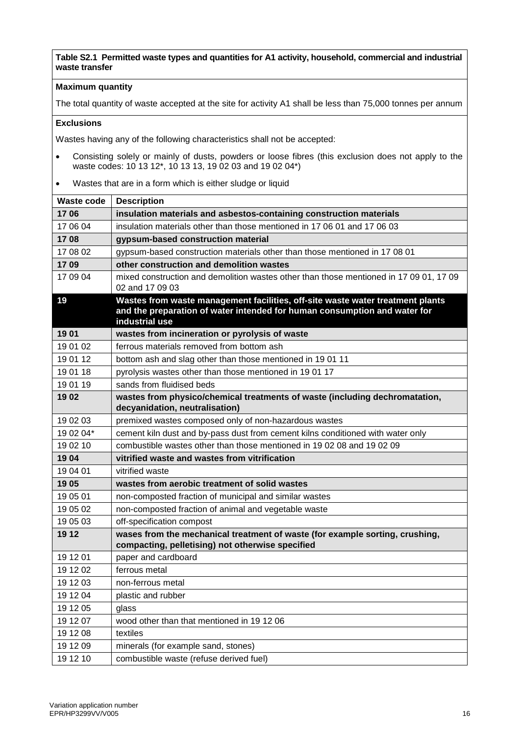#### **Maximum quantity**

The total quantity of waste accepted at the site for activity A1 shall be less than 75,000 tonnes per annum

#### **Exclusions**

- Consisting solely or mainly of dusts, powders or loose fibres (this exclusion does not apply to the waste codes: 10 13 12\*, 10 13 13, 19 02 03 and 19 02 04\*)
- Wastes that are in a form which is either sludge or liquid

| <b>Waste code</b> | <b>Description</b>                                                                                                                                                            |
|-------------------|-------------------------------------------------------------------------------------------------------------------------------------------------------------------------------|
| 1706              | insulation materials and asbestos-containing construction materials                                                                                                           |
| 17 06 04          | insulation materials other than those mentioned in 17 06 01 and 17 06 03                                                                                                      |
| 1708              | gypsum-based construction material                                                                                                                                            |
| 17 08 02          | gypsum-based construction materials other than those mentioned in 17 08 01                                                                                                    |
| 1709              | other construction and demolition wastes                                                                                                                                      |
| 17 09 04          | mixed construction and demolition wastes other than those mentioned in 17 09 01, 17 09<br>02 and 17 09 03                                                                     |
| 19                | Wastes from waste management facilities, off-site waste water treatment plants<br>and the preparation of water intended for human consumption and water for<br>industrial use |
| 1901              | wastes from incineration or pyrolysis of waste                                                                                                                                |
| 19 01 02          | ferrous materials removed from bottom ash                                                                                                                                     |
| 19 01 12          | bottom ash and slag other than those mentioned in 19 01 11                                                                                                                    |
| 19 01 18          | pyrolysis wastes other than those mentioned in 1901 17                                                                                                                        |
| 19 01 19          | sands from fluidised beds                                                                                                                                                     |
| 1902              | wastes from physico/chemical treatments of waste (including dechromatation,<br>decyanidation, neutralisation)                                                                 |
| 19 02 03          | premixed wastes composed only of non-hazardous wastes                                                                                                                         |
| 19 02 04*         | cement kiln dust and by-pass dust from cement kilns conditioned with water only                                                                                               |
| 19 02 10          | combustible wastes other than those mentioned in 190208 and 190209                                                                                                            |
| 1904              | vitrified waste and wastes from vitrification                                                                                                                                 |
| 19 04 01          | vitrified waste                                                                                                                                                               |
| 1905              | wastes from aerobic treatment of solid wastes                                                                                                                                 |
| 19 05 01          | non-composted fraction of municipal and similar wastes                                                                                                                        |
| 19 05 02          | non-composted fraction of animal and vegetable waste                                                                                                                          |
| 19 05 03          | off-specification compost                                                                                                                                                     |
| 19 12             | wases from the mechanical treatment of waste (for example sorting, crushing,<br>compacting, pelletising) not otherwise specified                                              |
| 19 12 01          | paper and cardboard                                                                                                                                                           |
| 19 12 02          | ferrous metal                                                                                                                                                                 |
| 19 12 03          | non-ferrous metal                                                                                                                                                             |
| 19 12 04          | plastic and rubber                                                                                                                                                            |
| 19 12 05          | glass                                                                                                                                                                         |
| 19 12 07          | wood other than that mentioned in 19 12 06                                                                                                                                    |
| 19 12 08          | textiles                                                                                                                                                                      |
| 19 12 09          | minerals (for example sand, stones)                                                                                                                                           |
| 19 12 10          | combustible waste (refuse derived fuel)                                                                                                                                       |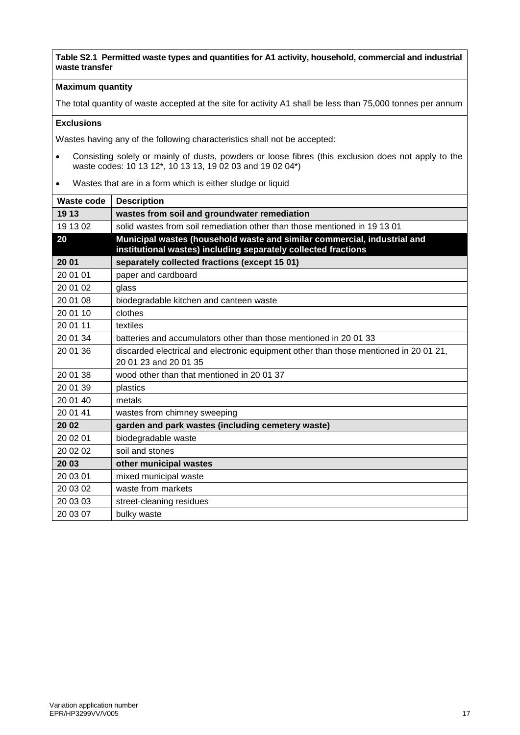#### **Maximum quantity**

The total quantity of waste accepted at the site for activity A1 shall be less than 75,000 tonnes per annum

#### **Exclusions**

- Consisting solely or mainly of dusts, powders or loose fibres (this exclusion does not apply to the waste codes: 10 13 12\*, 10 13 13, 19 02 03 and 19 02 04\*)
- Wastes that are in a form which is either sludge or liquid

| <b>Waste code</b> | <b>Description</b>                                                                    |
|-------------------|---------------------------------------------------------------------------------------|
| 19 13             | wastes from soil and groundwater remediation                                          |
| 19 13 02          | solid wastes from soil remediation other than those mentioned in 19 13 01             |
| 20                | Municipal wastes (household waste and similar commercial, industrial and              |
|                   | institutional wastes) including separately collected fractions                        |
| 20 01             | separately collected fractions (except 15 01)                                         |
| 20 01 01          | paper and cardboard                                                                   |
| 20 01 02          | glass                                                                                 |
| 20 01 08          | biodegradable kitchen and canteen waste                                               |
| 20 01 10          | clothes                                                                               |
| 20 01 11          | textiles                                                                              |
| 20 01 34          | batteries and accumulators other than those mentioned in 2001 33                      |
| 20 01 36          | discarded electrical and electronic equipment other than those mentioned in 20 01 21, |
|                   | 20 01 23 and 20 01 35                                                                 |
| 20 01 38          | wood other than that mentioned in 20 01 37                                            |
| 20 01 39          | plastics                                                                              |
| 20 01 40          | metals                                                                                |
| 20 01 41          | wastes from chimney sweeping                                                          |
| 20 02             | garden and park wastes (including cemetery waste)                                     |
| 20 02 01          | biodegradable waste                                                                   |
| 20 02 02          | soil and stones                                                                       |
| 20 03             | other municipal wastes                                                                |
| 20 03 01          | mixed municipal waste                                                                 |
| 20 03 02          | waste from markets                                                                    |
| 20 03 03          | street-cleaning residues                                                              |
| 20 03 07          | bulky waste                                                                           |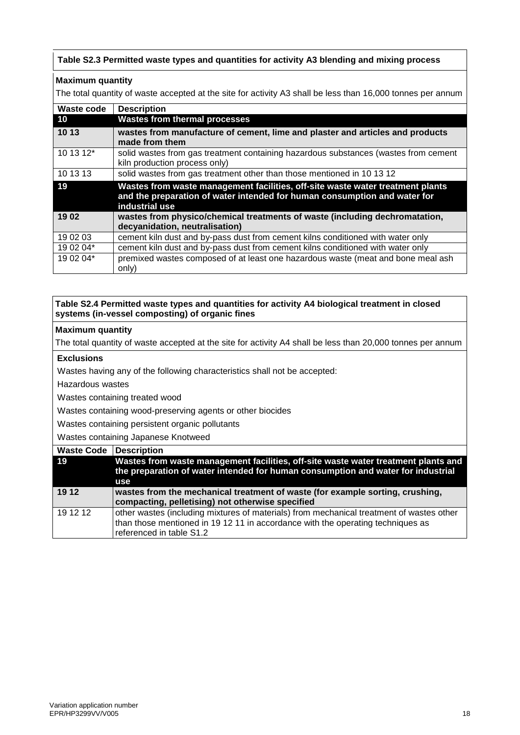#### **Table S2.3 Permitted waste types and quantities for activity A3 blending and mixing process**

#### **Maximum quantity**

The total quantity of waste accepted at the site for activity A3 shall be less than 16,000 tonnes per annum

| <b>Waste code</b> | <b>Description</b>                                                                                                                                                            |
|-------------------|-------------------------------------------------------------------------------------------------------------------------------------------------------------------------------|
| 10                | <b>Wastes from thermal processes</b>                                                                                                                                          |
| 10 13             | wastes from manufacture of cement, lime and plaster and articles and products<br>made from them                                                                               |
| 10 13 12*         | solid wastes from gas treatment containing hazardous substances (wastes from cement<br>kiln production process only)                                                          |
| 10 13 13          | solid wastes from gas treatment other than those mentioned in 10 13 12                                                                                                        |
| 19                | Wastes from waste management facilities, off-site waste water treatment plants<br>and the preparation of water intended for human consumption and water for<br>industrial use |
| 1902              | wastes from physico/chemical treatments of waste (including dechromatation,<br>decyanidation, neutralisation)                                                                 |
| 19 02 03          | cement kiln dust and by-pass dust from cement kilns conditioned with water only                                                                                               |
| 19 02 04*         | cement kiln dust and by-pass dust from cement kilns conditioned with water only                                                                                               |
| 19 02 04*         | premixed wastes composed of at least one hazardous waste (meat and bone meal ash<br>only)                                                                                     |

#### **Table S2.4 Permitted waste types and quantities for activity A4 biological treatment in closed systems (in-vessel composting) of organic fines**

#### **Maximum quantity**

The total quantity of waste accepted at the site for activity A4 shall be less than 20,000 tonnes per annum

#### **Exclusions**

Wastes having any of the following characteristics shall not be accepted:

Hazardous wastes

Wastes containing treated wood

Wastes containing wood-preserving agents or other biocides

Wastes containing persistent organic pollutants

Wastes containing Japanese Knotweed

| <b>Waste Code</b> | Description                                                                                                                                                                                             |
|-------------------|---------------------------------------------------------------------------------------------------------------------------------------------------------------------------------------------------------|
| 19                | Wastes from waste management facilities, off-site waste water treatment plants and<br>the preparation of water intended for human consumption and water for industrial<br>use                           |
| 19 12             | wastes from the mechanical treatment of waste (for example sorting, crushing,<br>compacting, pelletising) not otherwise specified                                                                       |
| 19 12 12          | other wastes (including mixtures of materials) from mechanical treatment of wastes other<br>than those mentioned in 19 12 11 in accordance with the operating techniques as<br>referenced in table S1.2 |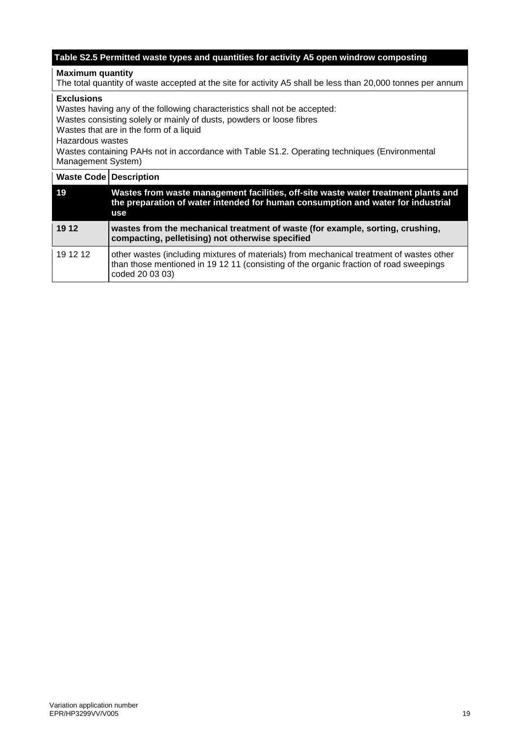#### **Table S2.5 Permitted waste types and quantities for activity A5 open windrow composting**

#### **Maximum quantity**

The total quantity of waste accepted at the site for activity A5 shall be less than 20,000 tonnes per annum

#### **Exclusions**

Wastes having any of the following characteristics shall not be accepted:

Wastes consisting solely or mainly of dusts, powders or loose fibres

Wastes that are in the form of a liquid

Hazardous wastes

Wastes containing PAHs not in accordance with Table S1.2. Operating techniques (Environmental Management System)

| <b>Waste Code Description</b> |                                                                                                                                                                                                       |
|-------------------------------|-------------------------------------------------------------------------------------------------------------------------------------------------------------------------------------------------------|
| 19                            | Wastes from waste management facilities, off-site waste water treatment plants and<br>the preparation of water intended for human consumption and water for industrial<br>use                         |
| 19 12                         | wastes from the mechanical treatment of waste (for example, sorting, crushing,<br>compacting, pelletising) not otherwise specified                                                                    |
| 19 12 12                      | other wastes (including mixtures of materials) from mechanical treatment of wastes other<br>than those mentioned in 19 12 11 (consisting of the organic fraction of road sweepings<br>coded 20 03 03) |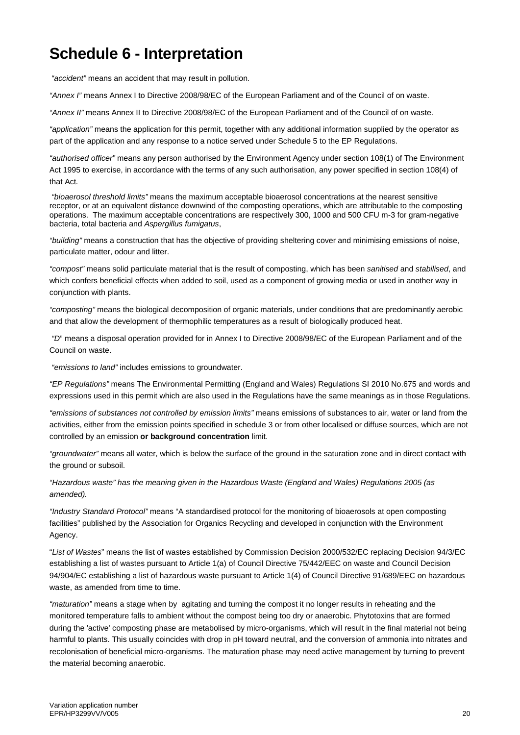# **Schedule 6 - Interpretation**

*"accident"* means an accident that may result in pollution.

*"Annex I"* means Annex I to Directive 2008/98/EC of the European Parliament and of the Council of on waste.

*"Annex II"* means Annex II to Directive 2008/98/EC of the European Parliament and of the Council of on waste.

*"application"* means the application for this permit, together with any additional information supplied by the operator as part of the application and any response to a notice served under Schedule 5 to the EP Regulations.

*"authorised officer"* means any person authorised by the Environment Agency under section 108(1) of The Environment Act 1995 to exercise, in accordance with the terms of any such authorisation, any power specified in section 108(4) of that Act*.*

*"bioaerosol threshold limits"* means the maximum acceptable bioaerosol concentrations at the nearest sensitive receptor, or at an equivalent distance downwind of the composting operations, which are attributable to the composting operations. The maximum acceptable concentrations are respectively 300, 1000 and 500 CFU m-3 for gram-negative bacteria, total bacteria and *Aspergillus fumigatus*,

*"building"* means a construction that has the objective of providing sheltering cover and minimising emissions of noise, particulate matter, odour and litter.

*"compost"* means solid particulate material that is the result of composting, which has been *sanitised* and *stabilised*, and which confers beneficial effects when added to soil, used as a component of growing media or used in another way in conjunction with plants.

*"composting"* means the biological decomposition of organic materials, under conditions that are predominantly aerobic and that allow the development of thermophilic temperatures as a result of biologically produced heat.

*"D*" means a disposal operation provided for in Annex I to Directive 2008/98/EC of the European Parliament and of the Council on waste.

*"emissions to land"* includes emissions to groundwater.

*"EP Regulations"* means The Environmental Permitting (England and Wales) Regulations SI 2010 No.675 and words and expressions used in this permit which are also used in the Regulations have the same meanings as in those Regulations.

*"emissions of substances not controlled by emission limits"* means emissions of substances to air, water or land from the activities, either from the emission points specified in schedule 3 or from other localised or diffuse sources, which are not controlled by an emission **or background concentration** limit.

*"groundwater"* means all water, which is below the surface of the ground in the saturation zone and in direct contact with the ground or subsoil.

*"Hazardous waste" has the meaning given in the Hazardous Waste (England and Wales) Regulations 2005 (as amended).*

*"Industry Standard Protocol"* means "A standardised protocol for the monitoring of bioaerosols at open composting facilities" published by the Association for Organics Recycling and developed in conjunction with the Environment Agency.

"*List of Wastes*" means the list of wastes established by Commission Decision 2000/532/EC replacing Decision 94/3/EC establishing a list of wastes pursuant to Article 1(a) of Council Directive 75/442/EEC on waste and Council Decision 94/904/EC establishing a list of hazardous waste pursuant to Article 1(4) of Council Directive 91/689/EEC on hazardous waste, as amended from time to time.

*"maturation"* means a stage when by agitating and turning the compost it no longer results in reheating and the monitored temperature falls to ambient without the compost being too dry or anaerobic. Phytotoxins that are formed during the 'active' composting phase are metabolised by micro-organisms, which will result in the final material not being harmful to plants. This usually coincides with drop in pH toward neutral, and the conversion of ammonia into nitrates and recolonisation of beneficial micro-organisms. The maturation phase may need active management by turning to prevent the material becoming anaerobic.